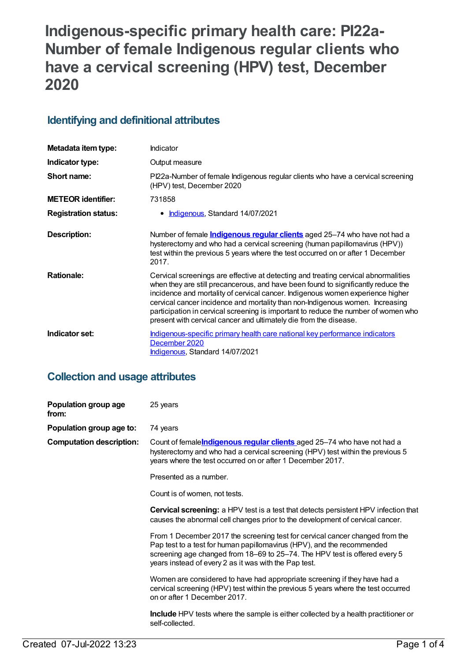# **Indigenous-specific primary health care: PI22a-Number of female Indigenous regular clients who have a cervical screening (HPV) test, December 2020**

### **Identifying and definitional attributes**

| Metadata item type:         | Indicator                                                                                                                                                                                                                                                                                                                                                                                                                                                                                             |
|-----------------------------|-------------------------------------------------------------------------------------------------------------------------------------------------------------------------------------------------------------------------------------------------------------------------------------------------------------------------------------------------------------------------------------------------------------------------------------------------------------------------------------------------------|
| Indicator type:             | Output measure                                                                                                                                                                                                                                                                                                                                                                                                                                                                                        |
| Short name:                 | PI22a-Number of female Indigenous regular clients who have a cervical screening<br>(HPV) test, December 2020                                                                                                                                                                                                                                                                                                                                                                                          |
| <b>METEOR identifier:</b>   | 731858                                                                                                                                                                                                                                                                                                                                                                                                                                                                                                |
| <b>Registration status:</b> | Indigenous, Standard 14/07/2021                                                                                                                                                                                                                                                                                                                                                                                                                                                                       |
| Description:                | Number of female <i>Indigenous regular clients</i> aged 25-74 who have not had a<br>hysterectomy and who had a cervical screening (human papillomavirus (HPV))<br>test within the previous 5 years where the test occurred on or after 1 December<br>2017.                                                                                                                                                                                                                                            |
| <b>Rationale:</b>           | Cervical screenings are effective at detecting and treating cervical abnormalities<br>when they are still precancerous, and have been found to significantly reduce the<br>incidence and mortality of cervical cancer. Indigenous women experience higher<br>cervical cancer incidence and mortality than non-Indigenous women. Increasing<br>participation in cervical screening is important to reduce the number of women who<br>present with cervical cancer and ultimately die from the disease. |
| Indicator set:              | Indigenous-specific primary health care national key performance indicators<br>December 2020<br><b>Indigenous, Standard 14/07/2021</b>                                                                                                                                                                                                                                                                                                                                                                |

### **Collection and usage attributes**

| Population group age<br>from:   | 25 years                                                                                                                                                                                                                                                                                      |
|---------------------------------|-----------------------------------------------------------------------------------------------------------------------------------------------------------------------------------------------------------------------------------------------------------------------------------------------|
| Population group age to:        | 74 years                                                                                                                                                                                                                                                                                      |
| <b>Computation description:</b> | Count of female <b>Indigenous regular clients</b> aged 25-74 who have not had a<br>hysterectomy and who had a cervical screening (HPV) test within the previous 5<br>years where the test occurred on or after 1 December 2017.                                                               |
|                                 | Presented as a number.                                                                                                                                                                                                                                                                        |
|                                 | Count is of women, not tests.                                                                                                                                                                                                                                                                 |
|                                 | <b>Cervical screening:</b> a HPV test is a test that detects persistent HPV infection that<br>causes the abnormal cell changes prior to the development of cervical cancer.                                                                                                                   |
|                                 | From 1 December 2017 the screening test for cervical cancer changed from the<br>Pap test to a test for human papillomavirus (HPV), and the recommended<br>screening age changed from 18–69 to 25–74. The HPV test is offered every 5<br>years instead of every 2 as it was with the Pap test. |
|                                 | Women are considered to have had appropriate screening if they have had a<br>cervical screening (HPV) test within the previous 5 years where the test occurred<br>on or after 1 December 2017.                                                                                                |
|                                 | <b>Include</b> HPV tests where the sample is either collected by a health practitioner or<br>self-collected.                                                                                                                                                                                  |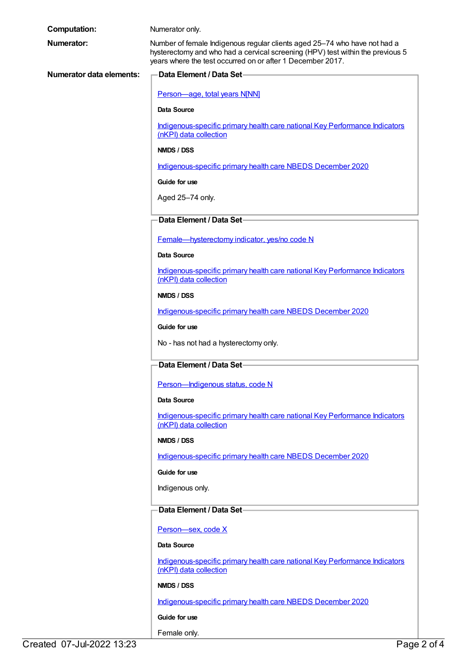| <b>Computation:</b>             | Numerator only.                                                                                                                                                                                                           |
|---------------------------------|---------------------------------------------------------------------------------------------------------------------------------------------------------------------------------------------------------------------------|
| <b>Numerator:</b>               | Number of female Indigenous regular clients aged 25-74 who have not had a<br>hysterectomy and who had a cervical screening (HPV) test within the previous 5<br>years where the test occurred on or after 1 December 2017. |
| <b>Numerator data elements:</b> | <b>Data Element / Data Set-</b>                                                                                                                                                                                           |
|                                 | Person-age, total years N[NN]                                                                                                                                                                                             |
|                                 | <b>Data Source</b>                                                                                                                                                                                                        |
|                                 | Indigenous-specific primary health care national Key Performance Indicators<br>(nKPI) data collection                                                                                                                     |
|                                 | NMDS / DSS                                                                                                                                                                                                                |
|                                 | Indigenous-specific primary health care NBEDS December 2020                                                                                                                                                               |
|                                 | Guide for use                                                                                                                                                                                                             |
|                                 | Aged 25-74 only.                                                                                                                                                                                                          |
|                                 | Data Element / Data Set-                                                                                                                                                                                                  |
|                                 | Female-hysterectomy indicator, yes/no code N                                                                                                                                                                              |
|                                 | <b>Data Source</b>                                                                                                                                                                                                        |
|                                 | Indigenous-specific primary health care national Key Performance Indicators                                                                                                                                               |
|                                 | (nKPI) data collection                                                                                                                                                                                                    |
|                                 | NMDS / DSS                                                                                                                                                                                                                |
|                                 | Indigenous-specific primary health care NBEDS December 2020                                                                                                                                                               |
|                                 | Guide for use                                                                                                                                                                                                             |
|                                 | No - has not had a hysterectomy only.                                                                                                                                                                                     |
|                                 | Data Element / Data Set-                                                                                                                                                                                                  |
|                                 | Person-Indigenous status, code N                                                                                                                                                                                          |
|                                 | <b>Data Source</b>                                                                                                                                                                                                        |
|                                 | Indigenous-specific primary health care national Key Performance Indicators<br>(nKPI) data collection                                                                                                                     |
|                                 | NMDS / DSS                                                                                                                                                                                                                |
|                                 | Indigenous-specific primary health care NBEDS December 2020                                                                                                                                                               |
|                                 | Guide for use                                                                                                                                                                                                             |
|                                 | Indigenous only.                                                                                                                                                                                                          |
|                                 | Data Element / Data Set-                                                                                                                                                                                                  |
|                                 | Person-sex, code X                                                                                                                                                                                                        |
|                                 | <b>Data Source</b>                                                                                                                                                                                                        |
|                                 | Indigenous-specific primary health care national Key Performance Indicators<br>(nKPI) data collection                                                                                                                     |
|                                 | NMDS / DSS                                                                                                                                                                                                                |
|                                 | Indigenous-specific primary health care NBEDS December 2020                                                                                                                                                               |
|                                 | Guide for use                                                                                                                                                                                                             |
|                                 |                                                                                                                                                                                                                           |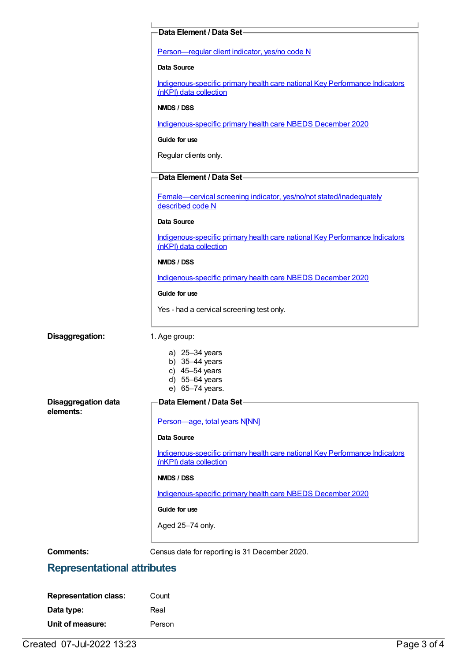| Person-regular client indicator, yes/no code N<br>Data Source<br>Indigenous-specific primary health care national Key Performance Indicators<br>(nKPI) data collection<br>NMDS / DSS<br>Indigenous-specific primary health care NBEDS December 2020<br>Guide for use<br>Regular clients only.<br>Data Element / Data Set-<br>Female-cervical screening indicator, yes/no/not stated/inadequately<br>described code N<br>Data Source<br>Indigenous-specific primary health care national Key Performance Indicators<br>(nKPI) data collection<br>NMDS / DSS<br>Indigenous-specific primary health care NBEDS December 2020<br>Guide for use<br>Yes - had a cervical screening test only.<br>1. Age group:<br>a) 25-34 years<br>b) $35-44$ years<br>c) $45-54$ years<br>d) 55-64 years<br>e) 65-74 years.<br>Data Element / Data Set-<br>Person-age, total years N[NN]<br><b>Data Source</b><br>Indigenous-specific primary health care national Key Performance Indicators<br>(nKPI) data collection<br>NMDS / DSS<br>Indigenous-specific primary health care NBEDS December 2020<br>Guide for use<br>Aged 25-74 only.<br>Census date for reporting is 31 December 2020. |                 | Data Element / Data Set |
|-------------------------------------------------------------------------------------------------------------------------------------------------------------------------------------------------------------------------------------------------------------------------------------------------------------------------------------------------------------------------------------------------------------------------------------------------------------------------------------------------------------------------------------------------------------------------------------------------------------------------------------------------------------------------------------------------------------------------------------------------------------------------------------------------------------------------------------------------------------------------------------------------------------------------------------------------------------------------------------------------------------------------------------------------------------------------------------------------------------------------------------------------------------------------|-----------------|-------------------------|
| <b>Disaggregation data</b><br><b>Comments:</b>                                                                                                                                                                                                                                                                                                                                                                                                                                                                                                                                                                                                                                                                                                                                                                                                                                                                                                                                                                                                                                                                                                                          |                 |                         |
|                                                                                                                                                                                                                                                                                                                                                                                                                                                                                                                                                                                                                                                                                                                                                                                                                                                                                                                                                                                                                                                                                                                                                                         |                 |                         |
|                                                                                                                                                                                                                                                                                                                                                                                                                                                                                                                                                                                                                                                                                                                                                                                                                                                                                                                                                                                                                                                                                                                                                                         |                 |                         |
|                                                                                                                                                                                                                                                                                                                                                                                                                                                                                                                                                                                                                                                                                                                                                                                                                                                                                                                                                                                                                                                                                                                                                                         |                 |                         |
|                                                                                                                                                                                                                                                                                                                                                                                                                                                                                                                                                                                                                                                                                                                                                                                                                                                                                                                                                                                                                                                                                                                                                                         |                 |                         |
|                                                                                                                                                                                                                                                                                                                                                                                                                                                                                                                                                                                                                                                                                                                                                                                                                                                                                                                                                                                                                                                                                                                                                                         |                 |                         |
|                                                                                                                                                                                                                                                                                                                                                                                                                                                                                                                                                                                                                                                                                                                                                                                                                                                                                                                                                                                                                                                                                                                                                                         |                 |                         |
|                                                                                                                                                                                                                                                                                                                                                                                                                                                                                                                                                                                                                                                                                                                                                                                                                                                                                                                                                                                                                                                                                                                                                                         |                 |                         |
|                                                                                                                                                                                                                                                                                                                                                                                                                                                                                                                                                                                                                                                                                                                                                                                                                                                                                                                                                                                                                                                                                                                                                                         |                 |                         |
|                                                                                                                                                                                                                                                                                                                                                                                                                                                                                                                                                                                                                                                                                                                                                                                                                                                                                                                                                                                                                                                                                                                                                                         |                 |                         |
|                                                                                                                                                                                                                                                                                                                                                                                                                                                                                                                                                                                                                                                                                                                                                                                                                                                                                                                                                                                                                                                                                                                                                                         |                 |                         |
|                                                                                                                                                                                                                                                                                                                                                                                                                                                                                                                                                                                                                                                                                                                                                                                                                                                                                                                                                                                                                                                                                                                                                                         |                 |                         |
|                                                                                                                                                                                                                                                                                                                                                                                                                                                                                                                                                                                                                                                                                                                                                                                                                                                                                                                                                                                                                                                                                                                                                                         |                 |                         |
|                                                                                                                                                                                                                                                                                                                                                                                                                                                                                                                                                                                                                                                                                                                                                                                                                                                                                                                                                                                                                                                                                                                                                                         |                 |                         |
|                                                                                                                                                                                                                                                                                                                                                                                                                                                                                                                                                                                                                                                                                                                                                                                                                                                                                                                                                                                                                                                                                                                                                                         |                 |                         |
|                                                                                                                                                                                                                                                                                                                                                                                                                                                                                                                                                                                                                                                                                                                                                                                                                                                                                                                                                                                                                                                                                                                                                                         |                 |                         |
|                                                                                                                                                                                                                                                                                                                                                                                                                                                                                                                                                                                                                                                                                                                                                                                                                                                                                                                                                                                                                                                                                                                                                                         |                 |                         |
|                                                                                                                                                                                                                                                                                                                                                                                                                                                                                                                                                                                                                                                                                                                                                                                                                                                                                                                                                                                                                                                                                                                                                                         | Disaggregation: |                         |
|                                                                                                                                                                                                                                                                                                                                                                                                                                                                                                                                                                                                                                                                                                                                                                                                                                                                                                                                                                                                                                                                                                                                                                         |                 |                         |
|                                                                                                                                                                                                                                                                                                                                                                                                                                                                                                                                                                                                                                                                                                                                                                                                                                                                                                                                                                                                                                                                                                                                                                         |                 |                         |
|                                                                                                                                                                                                                                                                                                                                                                                                                                                                                                                                                                                                                                                                                                                                                                                                                                                                                                                                                                                                                                                                                                                                                                         |                 |                         |
|                                                                                                                                                                                                                                                                                                                                                                                                                                                                                                                                                                                                                                                                                                                                                                                                                                                                                                                                                                                                                                                                                                                                                                         |                 |                         |
|                                                                                                                                                                                                                                                                                                                                                                                                                                                                                                                                                                                                                                                                                                                                                                                                                                                                                                                                                                                                                                                                                                                                                                         | elements:       |                         |
|                                                                                                                                                                                                                                                                                                                                                                                                                                                                                                                                                                                                                                                                                                                                                                                                                                                                                                                                                                                                                                                                                                                                                                         |                 |                         |
|                                                                                                                                                                                                                                                                                                                                                                                                                                                                                                                                                                                                                                                                                                                                                                                                                                                                                                                                                                                                                                                                                                                                                                         |                 |                         |
|                                                                                                                                                                                                                                                                                                                                                                                                                                                                                                                                                                                                                                                                                                                                                                                                                                                                                                                                                                                                                                                                                                                                                                         |                 |                         |
|                                                                                                                                                                                                                                                                                                                                                                                                                                                                                                                                                                                                                                                                                                                                                                                                                                                                                                                                                                                                                                                                                                                                                                         |                 |                         |
|                                                                                                                                                                                                                                                                                                                                                                                                                                                                                                                                                                                                                                                                                                                                                                                                                                                                                                                                                                                                                                                                                                                                                                         |                 |                         |
|                                                                                                                                                                                                                                                                                                                                                                                                                                                                                                                                                                                                                                                                                                                                                                                                                                                                                                                                                                                                                                                                                                                                                                         |                 |                         |
|                                                                                                                                                                                                                                                                                                                                                                                                                                                                                                                                                                                                                                                                                                                                                                                                                                                                                                                                                                                                                                                                                                                                                                         |                 |                         |
|                                                                                                                                                                                                                                                                                                                                                                                                                                                                                                                                                                                                                                                                                                                                                                                                                                                                                                                                                                                                                                                                                                                                                                         |                 |                         |
|                                                                                                                                                                                                                                                                                                                                                                                                                                                                                                                                                                                                                                                                                                                                                                                                                                                                                                                                                                                                                                                                                                                                                                         |                 |                         |

### **Representational attributes**

| <b>Representation class:</b> | Count  |
|------------------------------|--------|
| Data type:                   | Real   |
| Unit of measure:             | Person |